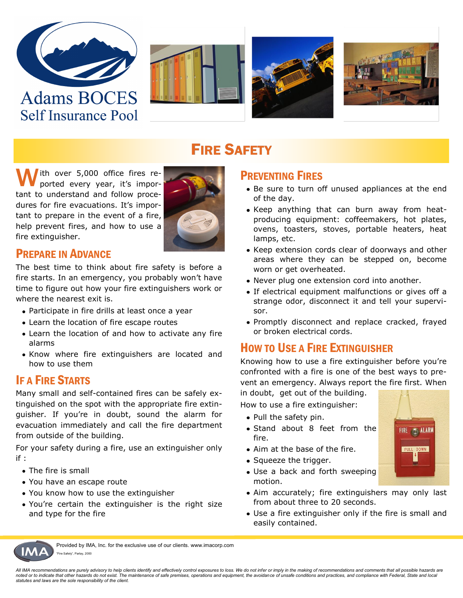









## **FIRE SAFETY**

Ith over 5,000 office fires reported every year, it's important to understand and follow procedures for fire evacuations. It's important to prepare in the event of a fire, help prevent fires, and how to use a fire extinguisher.



#### PREPARE IN ADVANCE

The best time to think about fire safety is before a fire starts. In an emergency, you probably won't have time to figure out how your fire extinguishers work or where the nearest exit is.

- Participate in fire drills at least once a year
- Learn the location of fire escape routes
- Learn the location of and how to activate any fire alarms
- Know where fire extinguishers are located and how to use them

#### IF A FIRE STARTS

Many small and self-contained fires can be safely extinguished on the spot with the appropriate fire extinguisher. If you're in doubt, sound the alarm for evacuation immediately and call the fire department from outside of the building.

For your safety during a fire, use an extinguisher only if :

- The fire is small
- You have an escape route
- You know how to use the extinguisher
- You're certain the extinguisher is the right size and type for the fire

#### PREVENTING FIRES

- Be sure to turn off unused appliances at the end of the day.
- Keep anything that can burn away from heatproducing equipment: coffeemakers, hot plates, ovens, toasters, stoves, portable heaters, heat lamps, etc.
- Keep extension cords clear of doorways and other areas where they can be stepped on, become worn or get overheated.
- Never plug one extension cord into another.
- If electrical equipment malfunctions or gives off a strange odor, disconnect it and tell your supervisor.
- Promptly disconnect and replace cracked, frayed or broken electrical cords.

#### HOW TO USE A FIRE EXTINGUISHER

Knowing how to use a fire extinguisher before you're confronted with a fire is one of the best ways to prevent an emergency. Always report the fire first. When

in doubt, get out of the building.

How to use a fire extinguisher:

- Pull the safety pin.
- Stand about 8 feet from the fire.
- Aim at the base of the fire.
- Squeeze the trigger.
- Use a back and forth sweeping motion.
- Aim accurately; fire extinguishers may only last from about three to 20 seconds.
- Use a fire extinguisher only if the fire is small and easily contained.



Provided by IMA, Inc. for the exclusive use of our clients. www.imacorp.com Fire Safety", Parlay, 2000

*All IMA recommendations are purely advisory to help clients identify and effectively control exposures to loss. We do not infer or imply in the making of recommendations and comments that all possible hazards are noted or to indicate that other hazards do not exist. The maintenance of safe premises, operations and equipment, the avoidance of unsafe conditions and practices, and compliance with Federal, State and local statutes and laws are the sole responsibility of the client.*

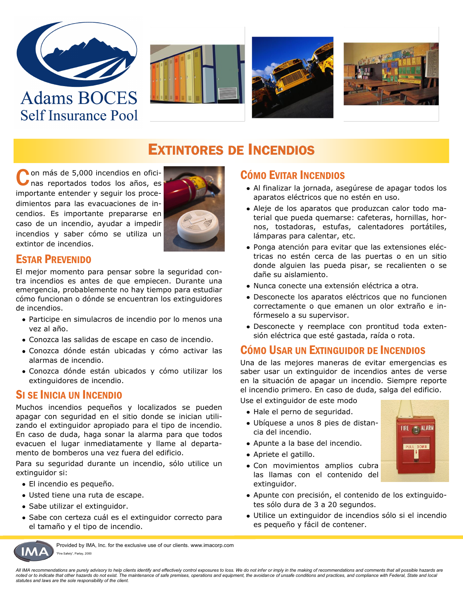

**Self Insurance Pool** 







### **EXTINTORES DE INCENDIOS**

Con más de 5,000 incendios en ofici-<br>Con mas reportados todos los años, es nas reportados todos los años, es importante entender y seguir los procedimientos para las evacuaciones de incendios. Es importante prepararse en caso de un incendio, ayudar a impedir incendios y saber cómo se utiliza un extintor de incendios.



#### ESTAR PREVENIDO

El mejor momento para pensar sobre la seguridad contra incendios es antes de que empiecen. Durante una emergencia, probablemente no hay tiempo para estudiar cómo funcionan o dónde se encuentran los extinguidores de incendios.

- Participe en simulacros de incendio por lo menos una vez al año.
- Conozca las salidas de escape en caso de incendio.
- Conozca dónde están ubicadas y cómo activar las alarmas de incendio.
- Conozca dónde están ubicados y cómo utilizar los extinguidores de incendio.

#### SI SE INICIA UN INCENDIO

Muchos incendios pequeños y localizados se pueden apagar con seguridad en el sitio donde se inician utilizando el extinguidor apropiado para el tipo de incendio. En caso de duda, haga sonar la alarma para que todos evacuen el lugar inmediatamente y llame al departamento de bomberos una vez fuera del edificio.

Para su seguridad durante un incendio, sólo utilice un extinguidor si:

- El incendio es pequeño.
- Usted tiene una ruta de escape.
- Sabe utilizar el extinguidor.
- Sabe con certeza cuál es el extinguidor correcto para el tamaño y el tipo de incendio.

#### CÓMO EVITAR INCENDIOS

- Al finalizar la jornada, asegúrese de apagar todos los aparatos eléctricos que no estén en uso.
- Aleje de los aparatos que produzcan calor todo material que pueda quemarse: cafeteras, hornillas, hornos, tostadoras, estufas, calentadores portátiles, lámparas para calentar, etc.
- Ponga atención para evitar que las extensiones eléctricas no estén cerca de las puertas o en un sitio donde alguien las pueda pisar, se recalienten o se dañe su aislamiento.
- Nunca conecte una extensión eléctrica a otra.
- Desconecte los aparatos eléctricos que no funcionen correctamente o que emanen un olor extraño e infórmeselo a su supervisor.
- Desconecte y reemplace con prontitud toda extensión eléctrica que esté gastada, raída o rota.

#### CÓMO USAR UN EXTINGUIDOR DE INCENDIOS

Una de las mejores maneras de evitar emergencias es saber usar un extinguidor de incendios antes de verse en la situación de apagar un incendio. Siempre reporte el incendio primero. En caso de duda, salga del edificio.

Use el extinguidor de este modo

- Hale el perno de seguridad.
- Ubíquese a unos 8 pies de distancia del incendio.
- Apunte a la base del incendio.
- Apriete el gatillo.
- Con movimientos amplios cubra las llamas con el contenido del extinguidor.



- Apunte con precisión, el contenido de los extinguidotes sólo dura de 3 a 20 segundos.
- Utilice un extinguidor de incendios sólo si el incendio es pequeño y fácil de contener.



Provided by IMA, Inc. for the exclusive use of our clients. www.imacorp.com Fire Safety", Parlay, 2000

*All IMA recommendations are purely advisory to help clients identify and effectively control exposures to loss. We do not infer or imply in the making of recommendations and comments that all possible hazards are noted or to indicate that other hazards do not exist. The maintenance of safe premises, operations and equipment, the avoidance of unsafe conditions and practices, and compliance with Federal, State and local statutes and laws are the sole responsibility of the client.*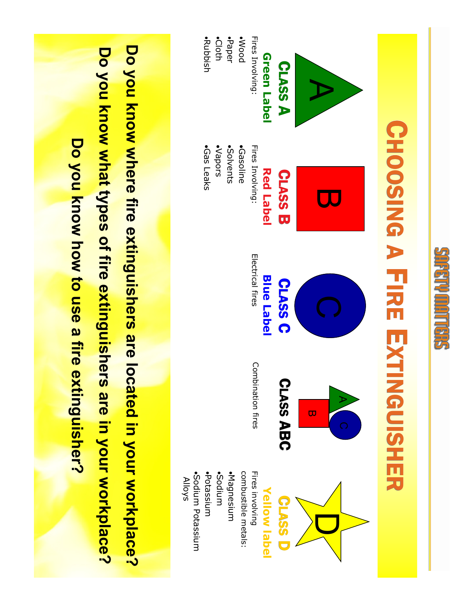

# CHOOSING A F**R**<br>I  $\blacksquare$ XTINGUISHER



Do you know where fire extinguishers are located in your workplace? **Do you know where fire extinguishers are located in your workplace?** Do you know what types of fire extinguishers are in your workplace? **Do you know what types of fire extinguishers are in your workplace?** Do you know how to use a fire extinguisher? **Do you know how to use a fire extinguisher?**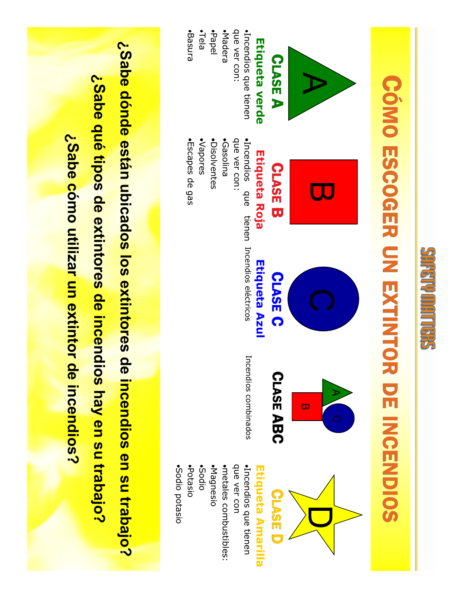

# CÓMO ESCOGER Ş EXTINTOR DE INCENDIOS



# Etiqueta Amarilla **Etiqueta Amarilla**

D

·Incendios que tienen ·metales combustibles: que ver con metales combustibles: Incendios que tienen

Sodio potasio

·Sodio potasio

Potasio

Basura

Escapes de gas

•Escapes de gas

¿Sabe dónde están ubicados los extintores de incendios en su trabajo? **¿Sabe dónde están ubicados los extintores de incendios en su trabajo?** ¿Sabe qué tipos de extintores de incendios hay en su trabajo? **¿Sabe qué tipos de extintores de incendios hay en su trabajo?** ¿Sabe cómo utilizar un extintor de incendios? **¿Sabe cómo utilizar un extintor de incendios?**